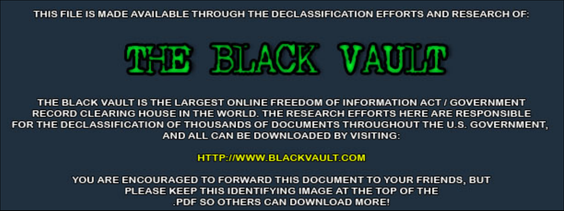THIS FILE IS MADE AVAILABLE THROUGH THE DECLASSIFICATION EFFORTS AND RESEARCH OF:



THE BLACK VAULT IS THE LARGEST ONLINE FREEDOM OF INFORMATION ACT / GOVERNMENT RECORD CLEARING HOUSE IN THE WORLD. THE RESEARCH EFFORTS HERE ARE RESPONSIBLE FOR THE DECLASSIFICATION OF THOUSANDS OF DOCUMENTS THROUGHOUT THE U.S. GOVERNMENT, AND ALL CAN BE DOWNLOADED BY VISITING:

**HTTP://WWW.BLACKVAULT.COM** 

YOU ARE ENCOURAGED TO FORWARD THIS DOCUMENT TO YOUR FRIENDS, BUT PLEASE KEEP THIS IDENTIFYING IMAGE AT THE TOP OF THE PDF SO OTHERS CAN DOWNLOAD MORE!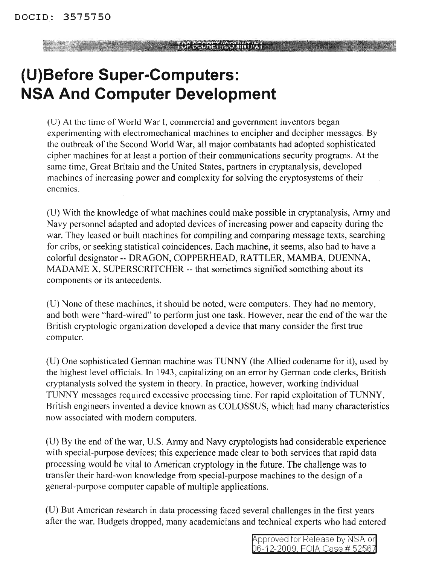**TOP SECOND TO SECOND TO SECOND THE SECOND TO A REPORT OF SECOND TO A REPORT OF SECOND TO A REPORT OF SECOND TO** 

# **(U)Before Super-Computers: NSA And Computer Development**

(U) At the time of World War I, commercial and government inventors began experimenting with electromechanical machines to encipher and decipher messages. By the outbreak of the Second World War, all major combatants had adopted sophisticated cipher machines for at least a portion of their communications security programs. At the same time, Great Britain and the Vnited States, partners in cryptanalysis, developed machines of increasing power and complexity for solving the cryptosystems of their enemies.

(U) With the knowledge of what machines could make possible in cryptanalysis, Army and Navy personnel adapted and adopted devices of increasing power and capacity during the war. They leased or built machines for compiling and comparing message texts, searching for cribs, or seeking statistical coincidences. Each machine, it seems, also had to have a colorful designator -- DRAGON, COPPERHEAD, RATTLER, MAMBA, DVENNA, MADAME X, SVPERSCRITCHER -- that sometimes signified something about its components or its antecedents.

(U) None of these machines, it should be noted, were computers. They had no memory, and both were "hard-wired" to perform just one task. However, near the end of the war the British cryptologic organization developed a device that many consider the first true computer.

(V) One sophisticated German machine was TUNNY (the Allied codename for it), used by the highest level officials. **In** 1943, capitalizing on an error by German code clerks, British cryptanalysts solved the system in theory. **In** practice, however, working individual TVNNY messages required excessive processing time. For rapid exploitation ofTUNNY, British engineers invented a device known as COLOSSVS, which had many characteristics now associated with modem computers.

 $(U)$  By the end of the war, U.S. Army and Navy cryptologists had considerable experience with special-purpose devices; this experience made clear to both services that rapid data processing would be vital to American cryptology in the future. The challenge was to transfer their hard-won knowledge from special-purpose machines to the design of a general-purpose computer capable of multiple applications.

(V) But American research in data processing faced several challenges in the first years after the war. Budgets dropped, many academicians and technical experts who had entered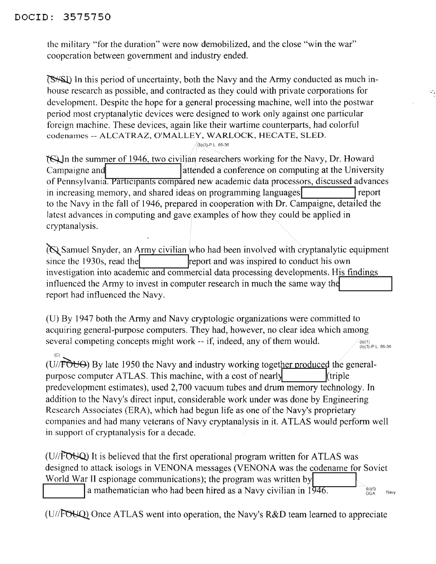#### DOCID: 3575750

(C)

the military "for the duration" were now demobilized, and the close "win the war" cooperation between government and industry ended.

In this period of uncertainty, both the Navy and the Army conducted as much inhouse research as possible, and contracted as they could with private corporations for development. Despite the hope for a general processing machine, well into the postwar period most cryptanalytic devices were designed to work only against one particular foreign machine. These devices, again like their wartime counterparts, had colorful codenames -- ALCATRAZ, O'MALLEY, WARLOCK, HECATE, SLED.

ຳໃໝ3)-P.L. 86-36

~In the summer of 1946, two civilian researcher~working for the Navy, Dr. Howard Campaigne and lattended a conference on computing at the University of Pennsylvania. Participants compared new academic data processors, discussed advances in increasing memory, and shared ideas on programming languages **I I**report to the Navy in the fall of 1946, prepared in cooperation with Dr. Campaigne, detailed the latest advances in computing and gave examples of how they could be applied in cryptanalysis.

Samuel Snyder, an Army civilian who had been involved with cryptanalytic equipment since the 1930s, read the report and was inspired to conduct his own investigation into academic and commercial data processing developments; His findings influenced the Army to invest in computer research in much the same way the report had influenced the Navy.

(U) By 1947 both the Army and Navy cryptologic organizations were committed to acquiring general-purpose computers. They had, however, no clear idea which among several competing concepts might work -- if, indeed, any of them would. (b)(1)<br>(b)(3)-P.L. 86-36

89.

 $(U/\sqrt{FOU\Theta})$  By late 1950 the Navy and industry working together produced the generalpurpose computer ATLAS. This machine, with a cost of nearly  $k$  (triple predevelopment estimates), used 2,700 vacuum tubes and drum memory technology. In addition to the Navy's direct input, considerable work under was done by Engineering Research Associates (ERA), which had begun life as one of the Navy's proprietary companies and had many veterans of Navy cryptanalysis in it. ATLAS would perform well in support of cryptanalysis for a decade.

(U//FOUQ) It is believed that the first operational program written for ATLAS was designed to attack isologs in VENONA messages (VENONA was the codename for Soviet World War II espionage communications); the program was written by a mathematician who had been hired as a Navy civilian in 1946.

 $(U/FOU)$  Once ATLAS went into operation, the Navy's R&D team learned to appreciate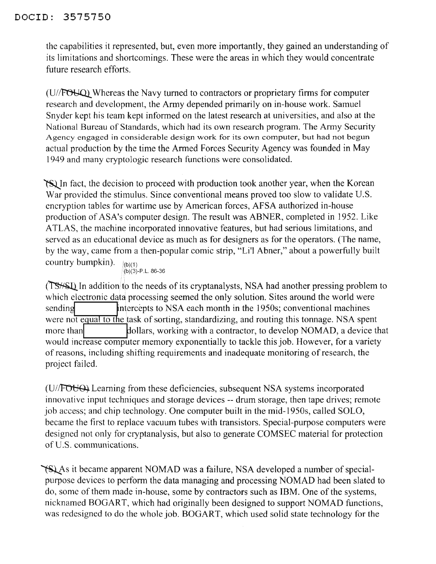#### DOCID: 3575750

the capabilities it represented, but, even more importantly, they gained an understanding of its limitations and shortcomings. These were the areas in which they would concentrate future research efforts.

 $(U/FOU)$  Whereas the Navy turned to contractors or proprietary firms for computer research and development, the Army depended primarily on in-house work. Samuel Snyder kept his team kept informed on the latest research at universities, and also at the National Bureau of Standards, which had its own research program. The Army Security Agency engaged in considerable design work for its own computer, but had not begun actual production by the time the Armed Forces Security Agency was founded in May 1949 and many cryptologic research functions were consolidated.

~In fact, the decision to proceed with production took another year, when the Korean War provided the stimulus. Since conventional means proved too slow to validate U.S. encryption tables for wartime use by American forces, AFSA authorized in-house production of ASA's computer design. The result was ABNER, completed in 1952. Like ATLAS, the machine incorporated innovative features, but had serious limitations, and served as an educational device as much as for designers as for the operators. (The name, by the way, came from a then-popular comic strip, "Li'l Abner," about a powerfully built country bumpkin). (b)(3)-P.L.86-36

(TS<sup>\{I{\pu}{S}}</sup>) In addition to the needs of its cryptanalysts, NSA had another pressing problem to which electronic data processing seemed the only solution. Sites around the world were sending **Intercepts to NSA each month in the 1950s; conventional machines** were not equal to the task of sorting, standardizing, and routing this tonnage. NSA spent more than **dollars**, working with a contractor, to develop NOMAD, a device that would increase computer memory exponentially to tackle this job. However, for a variety of reasons, including shifting requirements and inadequate monitoring ofresearch, the project failed.

(U//FOUO) Learning from these deficiencies, subsequent NSA systems incorporated innovative input techniques and storage devices -- drum storage, then tape drives; remote job access; and chip technology. One computer built in the mid-1950s, called SOLO, became the first to replace vacuum tubes with transistors. Special-purpose computers were designed not only for cryptanalysis, but also to generate COMSEC material for protection of U.S. communications.

~As it became apparent NOMAD was a failure, NSA developed a number ofspecialpurpose devices to perform the data managing and processing NOMAD had been slated to do, some of them made in-house, some by contractors such as IBM. One of the systems, nicknamed BOGART, which had originally been designed to support NOMAD functions, was redesigned to do the whole job. BOGART, which used solid state technology for the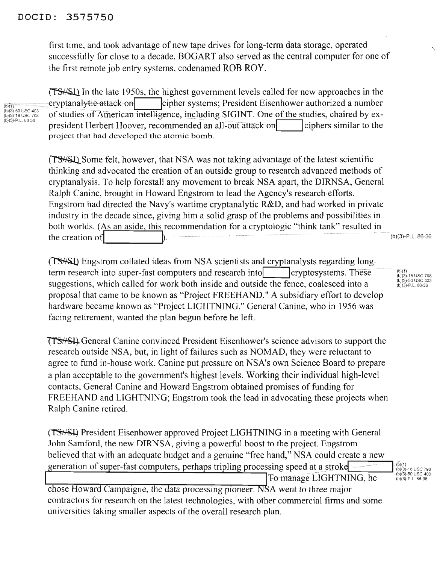#### DOCID: 3575750

first time, and took advantage of new tape drives for long-term data storage, operated successfully for close to a decade. BOGART also served as the central computer for one of the first remote job entry systems, codenamed ROB ROY.

In the late 1950s, the highest government levels called for new approaches in the  $\frac{1}{(b)(1)}$   $\frac{1}{(b)(3)}$   $\frac{1}{(b)(3)}$   $\frac{1}{(b)(3)}$   $\frac{1}{(b)(3)}$   $\frac{1}{(b)(3)}$   $\frac{1}{(b)(3)}$   $\frac{1}{(b)(3)}$   $\frac{1}{(b)(3)}$   $\frac{1}{(b)(3)}$   $\frac{1}{(b)(3)}$   $\frac{1}{(b)(3)}$   $\frac{1}{(b)(3)}$   $\frac{1}{(b)(3)}$   $\frac{1}{(b)(3)}$   $\frac{1}{(b)(3)}$   $\frac{1}{(b)(3)}$  Ibi(3)-50 USC 403<br>(b)(3)-p.u.sc 7<sup>08</sup> of studies of American intelligence, including SIGINT. One of the studies, chaired by ex-<br>president Herbert Hoover, recommended an all-out attack on ciphers similar to the project that had developed the atomic bomb.

> (TS<sup>HSI</sup>) Some felt, however, that NSA was not taking advantage of the latest scientific thinking and advocated the creation of an outside group to research advanced methods of cryptanalysis. To help forestall any movement to break NSA apart, the DIRNSA, General Ralph Canine, brought in Howard Engstrom to lead the Agency's research·efforts. Engstrom had directed the Navy's wartime cryptanalytic R&D, and had worked in private industry in the decade since, giving him a solid grasp of the problems and possibilities in both worlds. (As an aside, this recommendation for a cryptologic "think tank" resulted in the creation of  $\vert$   $\rangle$ .

(TS<sup>//S</sup>I) Engstrom collated ideas from NSA scientists and cryptanalysts regarding longterm research into super-fast computers and research into **Icryptosystems**. These suggestions, which called for work both inside and outside the fence, coalesced into a proposal that came to be known as "Project FREEHAND." A subsidiary effort to develop hardware became known as "Project LIGHTNING." General Canine, who in 1956 was facing retirement, wanted the plan begun before he left.

General Canine convinced President Eisenhower's science advisors to support the research outside NSA, but, in light of failures such as NOMAD, they were reluctant to agree to fund in-house work. Canine put pressure on NSA's own Science Board to prepare a plan acceptable to the government's highest levels. Working their individual high-level contacts, General Canine and Howard Engstrom obtained promises of funding for FREEHAND and LIGHTNING; Engstrom took the lead in advocating these projects when Ralph Canine retired.

(TS<sup>HSH</sup>) President Eisenhower approved Project LIGHTNING in a meeting with General John Samford, the new DIRNSA, giving a powerful boost to the project. Engstrom believed that with an adequate budget and a genuine "free hand," NSA could create a new eneration of super-fast computers, perhaps tripling processing speed at a stroke (501)<br>To manage LIGHTNING, he<br>(6)(3)-50 USC 403 To manage LIGHTNING, he

chose Howard Campaigne, the data processing pioneer. NSA went to three major contractors for research on the latest technologies, with other commercial firms and some universities taking smaller aspects of the overall research plan.

(b)(1) (b)(3)-18 usc 798 (b)(3)-50 usc 403 (b)(3)-P.L.86-36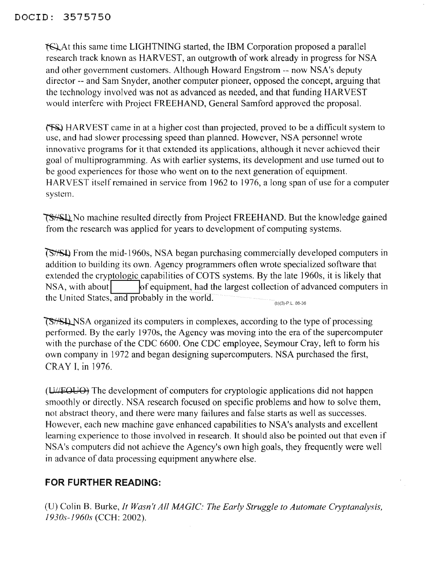~At this same time LIGHTNING started, the IBM Corporation proposed a parallel research track known as HARVEST, an outgrowth of work already in progress for NSA and other government customers. Although Howard Engstrom -- now NSA's deputy director -- and Sam Snyder, another computer pioneer, opposed the concept, arguing that the technology involved was not as advanced as needed, and that funding HARVEST would interfere with Project FREEHAND, General Samford approved the proposal.

HARVEST came in at a higher cost than projected, proved to be a difficult system to use, and had slower processing speed than planned. However, NSA personnel wrote innovative programs for it that extended its applications, although it never achieved their goal of multiprogramming. As with earlier systems, its development and use turned out to be good experiences for those who went on to the next generation of equipment. HARVEST itself remained in service from 1962 to 1976, a long span of use for a computer system.

~No machine resulted directly from Project FREEHAND. But the knowledge gained from the research was applied for years to development of computing systems.

 $(b)(3)-P.L.86-36$ From the mid-1960s, NSA began purchasing commercially developed computers in addition to building its own. Agency programmers often wrote specialized software that extended the cryptologic capabilities of COTS systems. By the late 1960s, it is likely that NSA, with about  $\left| \int_{0}^{\infty}$  equipment, had the largest collection of advanced computers in the United States, and probably in the world.

**TS**<sup> $\frac{1}{5}$ </sup>SHQ NSA organized its computers in complexes, according to the type of processing performed. By the early 1970s, the Agency was moving into the era of the supercomputer with the purchase of the CDC 6600. One CDC employee, Seymour Cray, left to form his own company in 1972 and began designing supercomputers. NSA purchased the first, CRAY I, in 1976.

 $(U/\sqrt{EQUO})$  The development of computers for cryptologic applications did not happen smoothly or directly. NSA research focused on specific problems and how to solve them, not abstract theory, and there were many failures and false starts as well as successes. However, each new machine gave enhanced capabilities to NSA's analysts and excellent learning experience to those involved in research. It should also be pointed out that even if NSA's computers did not achieve the Agency's own high goals, they frequently were well in advance of data processing equipment anywhere else.

### **FOR FURTHER READING:**

(U) Colin B. Burke, *It Wasn't All MAGIC: The Early Struggle to Automate Cryptanalysis, 1930s-1960s* (CCH: 2002).